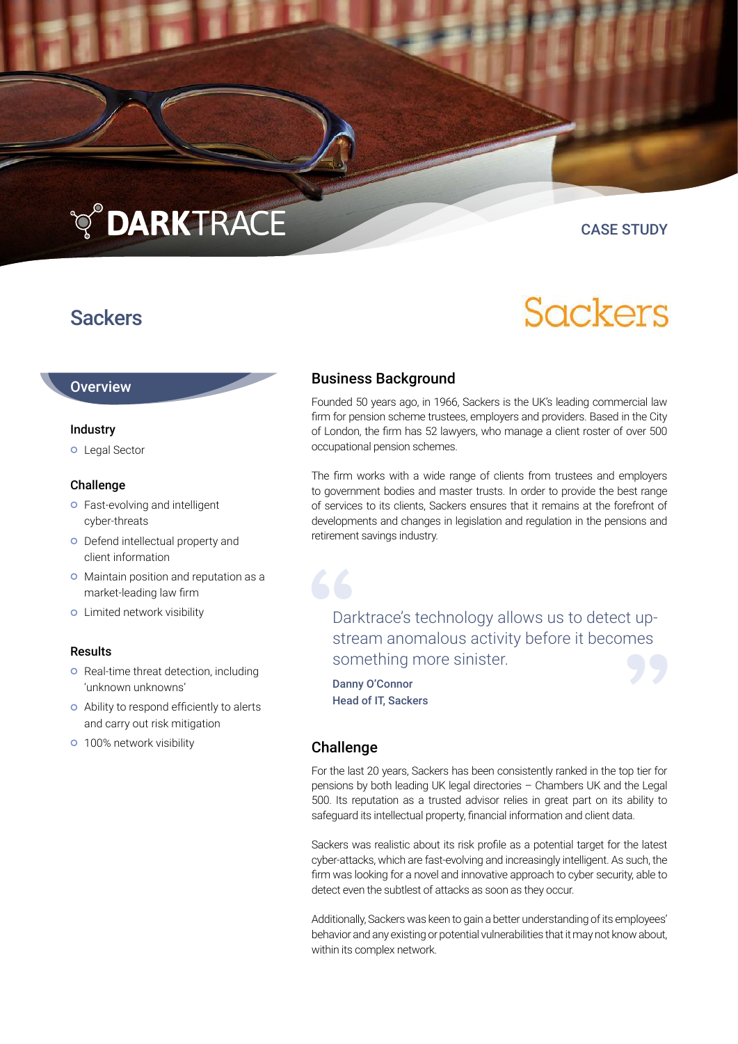# **TO DARKTRACE**

# **Sackers**

### CASE STUDY

Sackers

### Business Background

Founded 50 years ago, in 1966, Sackers is the UK's leading commercial law firm for pension scheme trustees, employers and providers. Based in the City of London, the firm has 52 lawyers, who manage a client roster of over 500 occupational pension schemes.

The firm works with a wide range of clients from trustees and employers to government bodies and master trusts. In order to provide the best range of services to its clients, Sackers ensures that it remains at the forefront of developments and changes in legislation and regulation in the pensions and retirement savings industry.

Darktrace's technology allows us to detect upstream anomalous activity before it becomes something more sinister.

Danny O'Connor Head of IT, Sackers

#### Challenge

For the last 20 years, Sackers has been consistently ranked in the top tier for pensions by both leading UK legal directories – Chambers UK and the Legal 500. Its reputation as a trusted advisor relies in great part on its ability to safeguard its intellectual property, financial information and client data.

Sackers was realistic about its risk profile as a potential target for the latest cyber-attacks, which are fast-evolving and increasingly intelligent. As such, the firm was looking for a novel and innovative approach to cyber security, able to detect even the subtlest of attacks as soon as they occur.

Additionally, Sackers was keen to gain a better understanding of its employees' behavior and any existing or potential vulnerabilities that it may not know about, within its complex network.

## **Overview**

#### Industry

**o** Legal Sector

#### Challenge

- **o** Fast-evolving and intelligent cyber-threats
- o Defend intellectual property and client information
- o Maintain position and reputation as a market-leading law firm
- **o** Limited network visibility

#### Results

- **o** Real-time threat detection, including 'unknown unknowns'
- Ability to respond efficiently to alerts and carry out risk mitigation
- **o** 100% network visibility